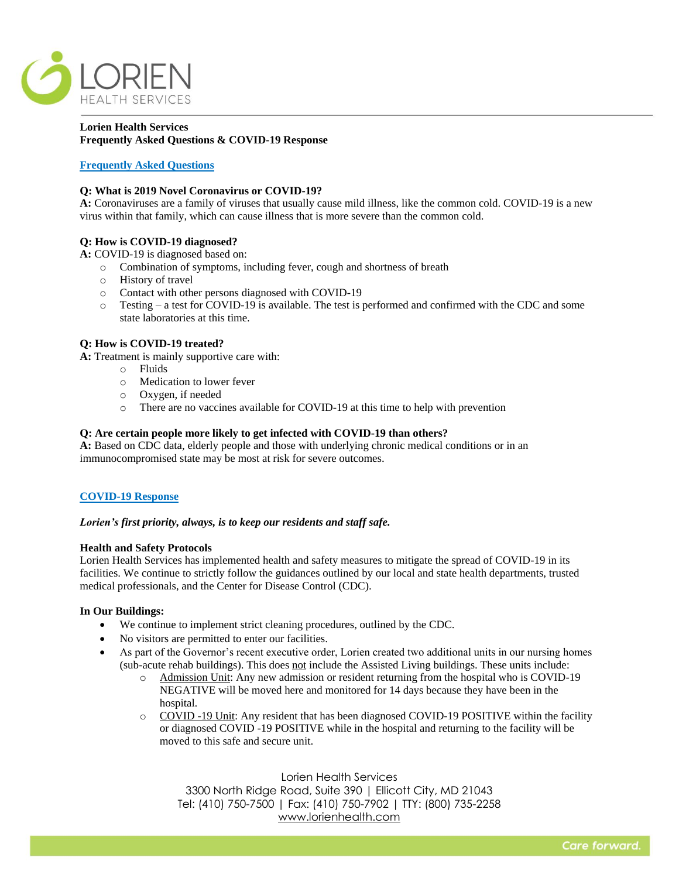

# **Lorien Health Services Frequently Asked Questions & COVID-19 Response**

# **Frequently Asked Questions**

## **Q: What is 2019 Novel Coronavirus or COVID-19?**

**A:** Coronaviruses are a family of viruses that usually cause mild illness, like the common cold. COVID-19 is a new virus within that family, which can cause illness that is more severe than the common cold.

# **Q: How is COVID-19 diagnosed?**

**A:** COVID-19 is diagnosed based on:

- o Combination of symptoms, including fever, cough and shortness of breath
- o History of travel
- o Contact with other persons diagnosed with COVID-19
- o Testing a test for COVID-19 is available. The test is performed and confirmed with the CDC and some state laboratories at this time.

## **Q: How is COVID-19 treated?**

**A:** Treatment is mainly supportive care with:

- o Fluids
- o Medication to lower fever
- o Oxygen, if needed
- o There are no vaccines available for COVID-19 at this time to help with prevention

### **Q: Are certain people more likely to get infected with COVID-19 than others?**

**A:** Based on CDC data, elderly people and those with underlying chronic medical conditions or in an immunocompromised state may be most at risk for severe outcomes.

### **COVID-19 Response**

### *Lorien's first priority, always, is to keep our residents and staff safe.*

#### **Health and Safety Protocols**

Lorien Health Services has implemented health and safety measures to mitigate the spread of COVID-19 in its facilities. We continue to strictly follow the guidances outlined by our local and state health departments, trusted medical professionals, and the Center for Disease Control (CDC).

### **In Our Buildings:**

- We continue to implement strict cleaning procedures, outlined by the CDC.
- No visitors are permitted to enter our facilities.
- As part of the Governor's recent executive order, Lorien created two additional units in our nursing homes (sub-acute rehab buildings). This does not include the Assisted Living buildings. These units include:
	- o Admission Unit: Any new admission or resident returning from the hospital who is COVID-19 NEGATIVE will be moved here and monitored for 14 days because they have been in the hospital.
	- o COVID -19 Unit: Any resident that has been diagnosed COVID-19 POSITIVE within the facility or diagnosed COVID -19 POSITIVE while in the hospital and returning to the facility will be moved to this safe and secure unit.

Lorien Health Services 3300 North Ridge Road, Suite 390 | Ellicott City, MD 21043 Tel: (410) 750-7500 | Fax: (410) 750-7902 | TTY: (800) 735-2258 [www.lorienhealth.com](http://www.lorienhealth.com/)